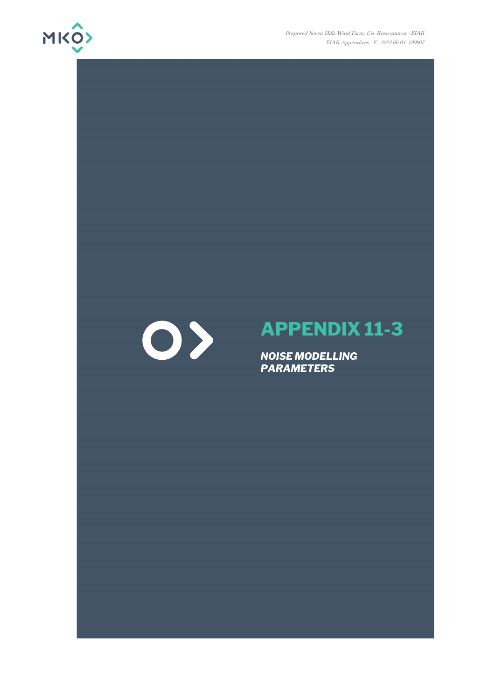

Proposed Seven Hills Wind Farm, Co. Roscommon - EIAR EIAR Appendices - F - 2022.06.03- 190907

## $\bigcirc$

## **APPENDIX 11-3**

*NOISE MODELLING PARAMETERS*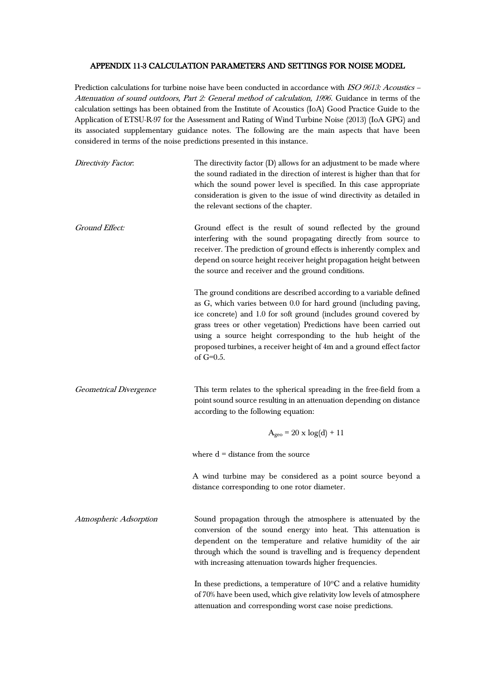## APPENDIX 11-3 CALCULATION PARAMETERS AND SETTINGS FOR NOISE MODEL

Prediction calculations for turbine noise have been conducted in accordance with ISO 9613: Acoustics -Attenuation of sound outdoors, Part 2: General method of calculation, 1996. Guidance in terms of the calculation settings has been obtained from the Institute of Acoustics (IoA) Good Practice Guide to the Application of ETSU-R-97 for the Assessment and Rating of Wind Turbine Noise (2013) (IoA GPG) and its associated supplementary guidance notes. The following are the main aspects that have been considered in terms of the noise predictions presented in this instance.

| The directivity factor (D) allows for an adjustment to be made where<br>the sound radiated in the direction of interest is higher than that for<br>which the sound power level is specified. In this case appropriate<br>consideration is given to the issue of wind directivity as detailed in<br>the relevant sections of the chapter.                                                                                                                                                 |
|------------------------------------------------------------------------------------------------------------------------------------------------------------------------------------------------------------------------------------------------------------------------------------------------------------------------------------------------------------------------------------------------------------------------------------------------------------------------------------------|
| Ground effect is the result of sound reflected by the ground<br>interfering with the sound propagating directly from source to<br>receiver. The prediction of ground effects is inherently complex and<br>depend on source height receiver height propagation height between<br>the source and receiver and the ground conditions.                                                                                                                                                       |
| The ground conditions are described according to a variable defined<br>as G, which varies between 0.0 for hard ground (including paving,<br>ice concrete) and 1.0 for soft ground (includes ground covered by<br>grass trees or other vegetation) Predictions have been carried out<br>using a source height corresponding to the hub height of the<br>proposed turbines, a receiver height of 4m and a ground effect factor<br>of $G=0.5$ .                                             |
| This term relates to the spherical spreading in the free-field from a<br>point sound source resulting in an attenuation depending on distance<br>according to the following equation:                                                                                                                                                                                                                                                                                                    |
| $A_{geo} = 20 \times log(d) + 11$                                                                                                                                                                                                                                                                                                                                                                                                                                                        |
| where $d = distance$ from the source                                                                                                                                                                                                                                                                                                                                                                                                                                                     |
| A wind turbine may be considered as a point source beyond a<br>distance corresponding to one rotor diameter.                                                                                                                                                                                                                                                                                                                                                                             |
| Sound propagation through the atmosphere is attenuated by the<br>conversion of the sound energy into heat. This attenuation is<br>dependent on the temperature and relative humidity of the air<br>through which the sound is travelling and is frequency dependent<br>with increasing attenuation towards higher frequencies.<br>In these predictions, a temperature of $10^{\circ}$ C and a relative humidity<br>of 70% have been used, which give relativity low levels of atmosphere |
|                                                                                                                                                                                                                                                                                                                                                                                                                                                                                          |